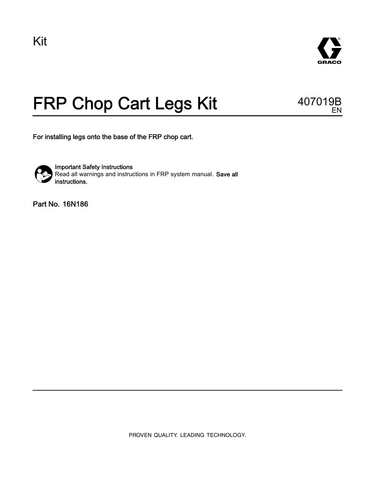

## FRP Chop Cart Legs Kit 407019B

EN

For installing legs onto the base of the FRP chop cart.



Important Safety Instructions Read all warnings and instructions in FRP system manual. Save all instructions.

Part No. 16N186

PROVEN QUALITY. LEADING TECHNOLOGY.